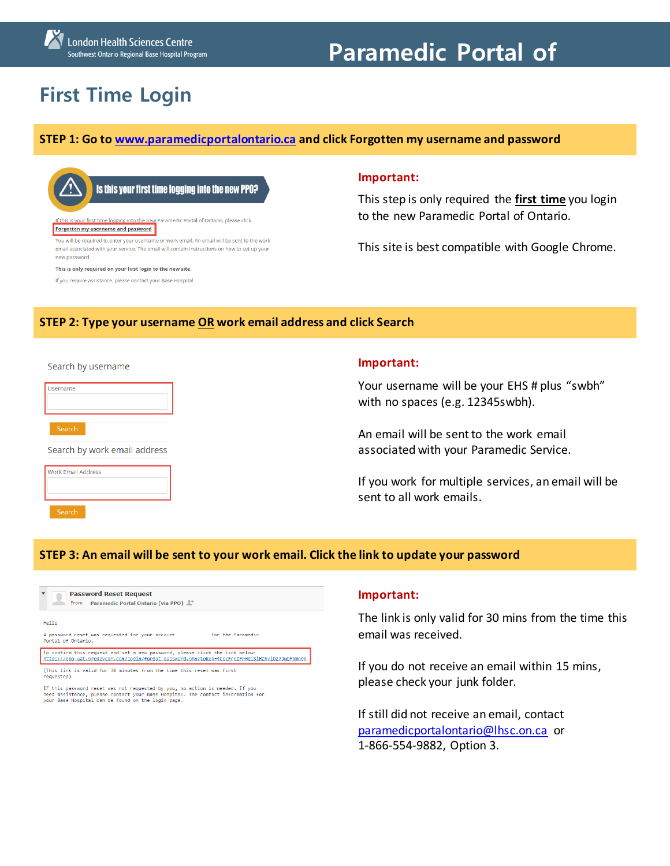# **Paramedic Portal of**

# **First Time Login**

#### **STEP 1: Go to [www.paramedicportalontario.ca](http://www.paramedicportalontario.ca/) and click Forgotten my username and password**



email associated with your service. The email will contain instructions on how to set up your new password.

This is only required on your first login to the new site.

If you require assistance, please contact your Base Hospital.

#### **Important:**

This step is only required the **first time** you login to the new Paramedic Portal of Ontario.

This site is best compatible with Google Chrome.

#### **STEP 2: Type your username OR work email address and click Search**

Search by username

| Username                               |
|----------------------------------------|
|                                        |
|                                        |
|                                        |
| Search                                 |
| .<br>and the state of the state of the |

Search by work email address



#### **Important:**

Your username will be your EHS # plus "swbh" with no spaces (e.g. 12345swbh).

An email will be sent to the work email associated with your Paramedic Service.

If you work for multiple services, an email will be sent to all work emails.

# **STEP 3: An email will be sent to your work email. Click the link to update your password**

VmnQn

| <b>Password Reset Request</b><br>From Paramedic Portal Ontario (via PPO)                                                                                                 |                   |
|--------------------------------------------------------------------------------------------------------------------------------------------------------------------------|-------------------|
| Hello                                                                                                                                                                    |                   |
| A password reset was requested for your account<br>Portal of Ontario.                                                                                                    | for the Paramedic |
| To confirm this request and set a new password, please click the link below:<br>https://ppo-uat.predevcon.com/login/forgot_password.php?token=4CpcFnpIFrHgi8iHZhviQ27JwD |                   |

(This link is valid for 30 minutes from the time this reset was first requested)

If this password reset was not requested by you, no action is needed. If you<br>need assistance, please contact your Base Hospital. The contact information for<br>your Base Hospital can be found on the login page.

## **Important:**

The link is only valid for 30 mins from the time this email was received.

If you do not receive an email within 15 mins, please check your junk folder.

If still did not receive an email, contact [paramedicportalontario@lhsc.on.ca](mailto:paramedicportalontario@lhsc.on.ca) or 1-866-554-9882, Option 3.